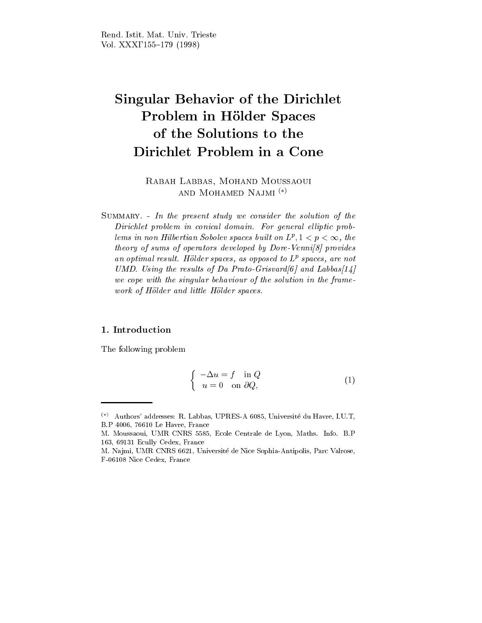# $S$  in Behavior behavior of the Dirichlet of the Dirichlet of the Dirichlet of the Dirichlet of the Dirichlet of the Dirichlet of the Dirichlet of the Dirichlet of the Dirichlet of the Dirichlet of the Dirichlet of the Di Problem in Holder Spaces Dirichlet Problem in <sup>a</sup> Cone

Rabah Labbas, Mohand Moussaoui AND MOHAMED NAJMI<sup>(\*)</sup>

Summary. - In the present study we consider the solution of the Dirichlet problem in conical domain. For general elliptic problems in non-Hubertian Sobolev spaces built on  $L^r$ ,  $1 < p < \infty$ , the theory of sums of operators developed by Dore-Venni<sup>[8]</sup> provides an optimal result. Hölder spaces, as opposed to  $L^p$  spaces, are not UMD. Using the results of Da Prato-Grisvard $[6]$  and Labbas $[14]$ we cope with the singular behaviour of the solution in the framework of Hölder and little Hölder spaces.

## 1. Introduction

The following problem

$$
\begin{cases}\n-\Delta u = f & \text{in } Q \\
u = 0 & \text{on } \partial Q,\n\end{cases}
$$
\n(1)

 $(\ast)$  Authors' addresses: R. Labbas, UPRES-A 6085, Université du Havre, I.U.T, B.P 4006, 76610 Le Havre, France

M. Moussaoui, UMR CNRS 5585, Ecole Centrale de Lyon, Maths. Info. B.P 163, 69131 Ecully Cedex, France

M. Na jmi, UMR CNRS 6621, Universite de Nice Sophia-Antipolis, Parc Valrose, F-06108 Nice Cedex, France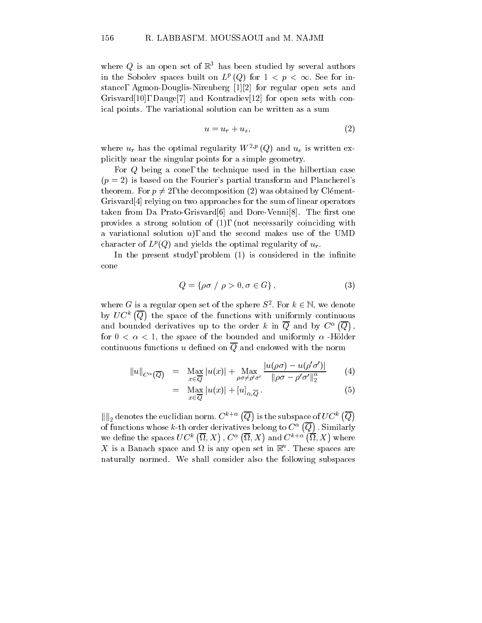where Q is an open set of  $\mathbb{R}^3$  has been studied by several authors in the Sobolev spaces built on  $L^p((\mathcal{Q})$  for  $1 \leq p \leq \infty$ . See for instance, Agmon-Douglis-Nirenberg [1][2] for regular open sets and Grisvard[10], Dauge[7] and Kontradiev[12] for open sets with conical points. The variational solution can be written as a sum

$$
u = u_r + u_s,\tag{2}
$$

where  $u_r$  has the optimal regularity  $W^{2,p}(Q)$  and  $u_s$  is written explicitly near the singular points for a simple geometry.

For Q being a cone, the technique used in the hilbertian case  $(p = 2)$  is based on the Fourier's partial transform and Plancherel's theorem. For  $p \neq 2$ , the decomposition (2) was obtained by Clément-Grisvard[4] relying on two approaches for the sum of linear operators taken from Da Prato-Grisvard $[6]$  and Dore-Venni $[8]$ . The first one provides a strong solution of (1), (not necessarily coinciding with a variational solution  $u$ , and the second makes use of the UMD character of  $L^p(Q)$  and yields the optimal regularity of  $u_r$ .

In the present study, problem  $(1)$  is considered in the infinite cone

$$
Q = \{ \rho \sigma \ / \ \rho > 0, \sigma \in G \},\tag{3}
$$

where G is a regular open set of the sphere  $S^-.$  For  $\kappa \in \mathbb{N}$ , we denote by  $UC^k(\overline{Q})$  the space o the space of the functions with uniformly continuous with  $\sim$ and bounded derivatives up to the order k in  $\overline{Q}$  and by  $C^{\alpha}(\overline{Q})$ . for  $0 < \alpha < 1$ , the space of the bounded and uniformly  $\alpha$ -Hölder continuous functions u defined on  $\overline{Q}$  and endowed with the norm

$$
||u||_{C^{\alpha}(\overline{Q})} = \operatorname{Max}_{x \in \overline{Q}} |u(x)| + \operatorname{Max}_{\rho \sigma \neq \rho' \sigma'} \frac{|u(\rho \sigma) - u(\rho' \sigma')|}{\|\rho \sigma - \rho' \sigma'\|_2^{\alpha}} \tag{4}
$$

$$
= \quad \max_{x \in \overline{Q}} |u(x)| + [u]_{\alpha, \overline{Q}} \,. \tag{5}
$$

 $\left\Vert {}\right\Vert _{2}$  denotes the euclidian norm.  $C^{k+\alpha }\left( \overline{Q}\right)$  is the subspace of  $UC^{k}\left( \overline{Q}\right)$  $\mathcal{L}$  and the set of the set of the set of the set of the set of the set of the set of the set of the set of the set of the set of the set of the set of the set of the set of the set of the set of the set of the set of of functions whose k-th order derivatives belong to  $C^{\alpha}(\overline{Q})$  . Similarly : Similarly state of the state of the state of the state of the state of the state of the state of the state o we define the spaces  $UC^k(\overline{\Omega},X)$  ,  $C^{\alpha}(\overline{\Omega},X)$  and  $C^{k+\alpha}(\overline{\Omega},X)$  where  $\Lambda$  is a Danach space and  $\Omega$  is any open set in  $\mathbb R$  . These spaces are naturally normed. We shall consider also the following subspaces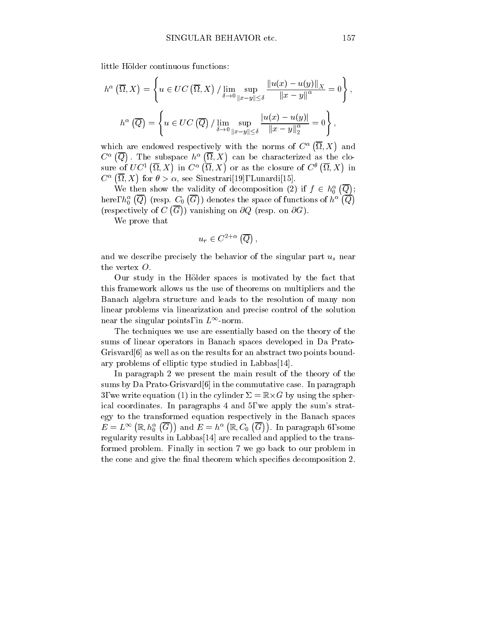little Holder continuous functions:

$$
h^{\alpha}\left(\overline{\Omega}, X\right) = \left\{ u \in UC\left(\overline{\Omega}, X\right) / \lim_{\delta \to 0} \sup_{\|x - y\| \le \delta} \frac{\|u(x) - u(y)\|_{X}}{\|x - y\|^{\alpha}} = 0 \right\},\
$$

$$
h^{\alpha}\left(\overline{Q}\right) = \left\{ u \in UC\left(\overline{Q}\right) / \lim_{\delta \to 0} \sup_{\|x - y\| \le \delta} \frac{|u(x) - u(y)|}{\|x - y\|_{2}^{\alpha}} = 0 \right\},\
$$

which are endowed respectively with the norms of  $C^{\alpha}(\overline{\Omega},X)$  and  $C^{\alpha}(\overline{Q})$ . The subspace  $h^{\alpha}(\overline{\Omega},X)$  can be characterized as the closure of  $UC^1(\overline{\Omega}, X)$  in  $C^{\alpha}(\overline{\Omega}, X)$  or as the closure of  $C^{\theta}(\overline{\Omega}, X)$  in  $C^{\alpha}(\overline{\Omega},X)$  for  $\theta>\alpha$ , see Sinestrari[19], Lunardi[15].

We then show the validity of decomposition (2) if  $f \in h_0^{\alpha}(\overline{Q});$ here,  $h^{\alpha}_0\left(\overline{Q}\right)$  (resp.  $C_0\left(\overline{G}\right)$ ) denotes the space of functions of  $h^{\alpha}\left(\overline{Q}\right)$  (respectively of  $C(\overline{G})$ ) vanishing ) vanishing on @Q (resp. on @G).

We prove that

$$
u_r \in C^{2+\alpha}(\overline{Q}),
$$

and we describe precisely the behavior of the singular part  $u_s$  near the vertex O.

Our study in the Holder spaces is motivated by the fact that this framework allows us the use of theorems on multipliers and the Banach algebra structure and leads to the resolution of many non linear problems via linearization and precise control of the solution near the singular points, in  $L^{\infty}$ -norm.

The techniques we use are essentially based on the theory of the sums of linear operators in Banach spaces developed in Da Prato-Grisvard[6] as well as on the results for an abstract two points boundary problems of elliptic type studied in Labbas[14].

In paragraph 2 we present the main result of the theory of the sums by Da Prato-Grisvard<sup>[6]</sup> in the commutative case. In paragraph 3, we write equation (1) in the cylinder  $\Delta = \mathbb{R} \times G$  by using the spherical coordinates. In paragraphs 4 and 5, we apply the sum's strategy to the transformed equation respectively in the Banach spaces  $E=L^{\infty}\left(\mathbb{R},h_{0}^{\alpha}\left(\overline{G}\right)\right)$  and  $E=h^{\alpha}\left(\mathbb{R},C_{0}\left(\overline{G}\right)\right)$ . In paragraph 6, some regularity results in Labbas[14] are recalled and applied to the transformed problem. Finally in section 7 we go back to our problem in the cone and give the final theorem which specifies decomposition 2.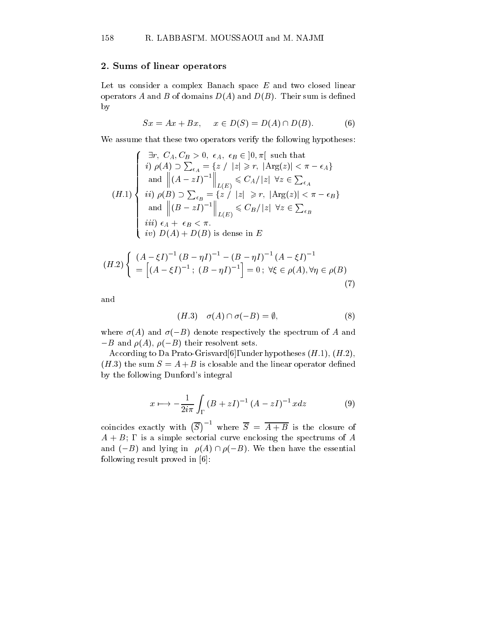## 2. Sums of linear operators

Let us consider a complex Banach space  $E$  and two closed linear operators A and B of domains  $D(A)$  and  $D(B)$ . Their sum is defined by

$$
Sx = Ax + Bx, \quad x \in D(S) = D(A) \cap D(B). \tag{6}
$$

We assume that these two operators verify the following hypotheses:

$$
(H.1) \begin{cases} \exists r, \ C_A, C_B > 0, \ \epsilon_A, \ \epsilon_B \in ]0, \pi[ \text{ such that} \\ i) \ \rho(A) \supset \sum_{\epsilon_A} = \{z \ / \ |z| \ge r, \ |\text{Arg}(z)| < \pi - \epsilon_A \} \\ \text{and } \left\| (A - zI)^{-1} \right\|_{L(E)} \le C_A / |z| \ \forall z \in \sum_{\epsilon_A} \\ ii) \ \rho(B) \supset \sum_{\epsilon_B} = \{z \ / \ |z| \ge r, \ |\text{Arg}(z)| < \pi - \epsilon_B \} \\ \text{and } \left\| (B - zI)^{-1} \right\|_{L(E)} \le C_B / |z| \ \forall z \in \sum_{\epsilon_B} \\ iii) \ \epsilon_A + \ \epsilon_B < \pi. \\ iv) \ D(A) + D(B) \text{ is dense in } E \end{cases}
$$

$$
(H.2)\begin{cases} (A - \xi I)^{-1} (B - \eta I)^{-1} - (B - \eta I)^{-1} (A - \xi I)^{-1} \\ = [(A - \xi I)^{-1}; (B - \eta I)^{-1}] = 0; \forall \xi \in \rho(A), \forall \eta \in \rho(B) \end{cases}
$$
(7)

and

$$
(H.3) \quad \sigma(A) \cap \sigma(-B) = \emptyset, \tag{8}
$$

where  $\sigma(A)$  and  $\sigma(-B)$  denote respectively the spectrum of A and  $-B$  and  $\rho(A)$ ,  $\rho(-B)$  their resolvent sets.

According to Da Prato-Grisvard[6], under hypotheses  $(H.1), (H.2),$  $(H.3)$  the sum  $S = A + B$  is closable and the linear operator defined by the following Dunford's integral

$$
x \longmapsto -\frac{1}{2i\pi} \int_{\Gamma} (B + zI)^{-1} (A - zI)^{-1} x dz \tag{9}
$$

coincides exactly with  $(\overline{S})^{-1}$  where  $\overline{S} = \overline{A+B}$  is the closure of  $A + B$ ; is a simple sectorial curve enclosing the spectrums of A and  $(-B)$  and lying in  $\rho(A) \cap \rho(-B)$ . We then have the essential following result proved in [6]: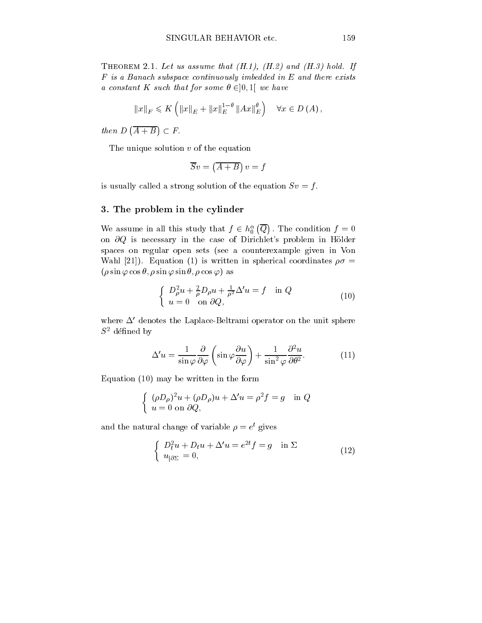THEOREM 2.1. Let us assume that  $(H.1)$ ,  $(H.2)$  and  $(H.3)$  hold. If F is a Banach subspace continuously imbedded in E and there exists a constant K such that for some  $\theta \in ]0,1[$  we have

$$
||x||_F \leqslant K\left(||x||_E + ||x||_E^{1-\theta} ||Ax||_E^{\theta}\right) \quad \forall x \in D(A),
$$

then  $D(\overline{A+B}) \subset F$ .

The unique solution  $v$  of the equation

$$
\overline{S}v=\left(\overline{A+B}\right)v=f
$$

is usually called a strong solution of the equation  $Sv = f$ .

## 3. The problem in the cylinder

We assume in all this study that  $f \in h_0^{\alpha}(\overline{Q})$  . The condi-: The condition f  $\mathcal{M} = \mathcal{M}$  and  $\mathcal{M} = \mathcal{M}$  and  $\mathcal{M} = \mathcal{M}$  and  $\mathcal{M} = \mathcal{M}$ on  $\partial Q$  is necessary in the case of Dirichlet's problem in Hölder spaces on regular open sets (see a counterexample given in Von Wahl [21]). Equation (1) is written in spherical coordinates  $\rho\sigma =$  $(\rho \sin \varphi \cos \theta, \rho \sin \varphi \sin \theta, \rho \cos \varphi)$  as

$$
\begin{cases}\nD_{\rho}^{2}u + \frac{2}{\rho}D_{\rho}u + \frac{1}{\rho^{2}}\Delta' u = f & \text{in } Q \\
u = 0 & \text{on } \partial Q,\n\end{cases}
$$
\n(10)

where  $\Delta'$  denotes the Laplace-Beltrami operator on the unit sphere  $S^2$  défined by

$$
\Delta' u = \frac{1}{\sin \varphi} \frac{\partial}{\partial \varphi} \left( \sin \varphi \frac{\partial u}{\partial \varphi} \right) + \frac{1}{\sin^2 \varphi} \frac{\partial^2 u}{\partial \theta^2}.
$$
 (11)

Equation (10) may be written in the form

$$
\begin{cases} (\rho D_{\rho})^2 u + (\rho D_{\rho}) u + \Delta' u = \rho^2 f = g & \text{in } Q \\ u = 0 \text{ on } \partial Q, \end{cases}
$$

and the natural change of variable  $\rho = e^{\frac{1}{2}}$  gives

$$
\begin{cases}\nD_t^2 u + D_t u + \Delta' u = e^{2t} f = g & \text{in } \Sigma \\
u_{|\partial \Sigma} = 0,\n\end{cases}
$$
\n(12)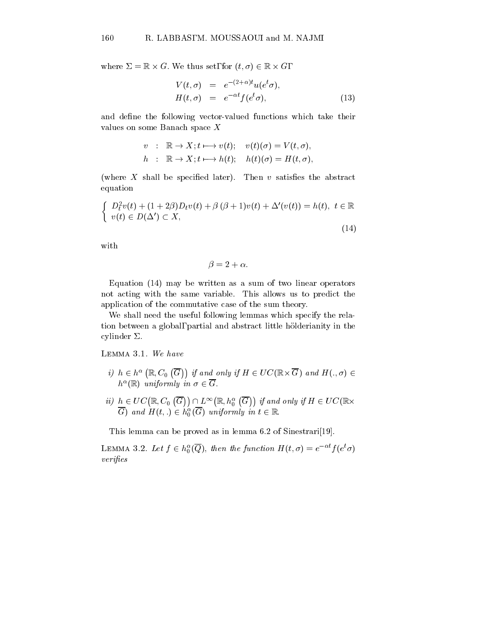where  $\Delta = \mathbb{R} \times G$ . We thus set, for  $\{t, \sigma\} \in \mathbb{R} \times G$ ,

$$
V(t,\sigma) = e^{-(2+\alpha)t}u(e^t\sigma),
$$
  
\n
$$
H(t,\sigma) = e^{-\alpha t}f(e^t\sigma),
$$
\n(13)

and define the following vector-valued functions which take their values on some Banach space X

$$
v : \mathbb{R} \to X; t \longmapsto v(t); \quad v(t)(\sigma) = V(t, \sigma),
$$
  
\n
$$
h : \mathbb{R} \to X; t \longmapsto h(t); \quad h(t)(\sigma) = H(t, \sigma),
$$

(where  $X$  shall be specified later). Then  $v$  satisfies the abstract equation

$$
\begin{cases}\nD_t^2 v(t) + (1+2\beta)D_t v(t) + \beta (\beta + 1)v(t) + \Delta'(v(t)) = h(t), \ t \in \mathbb{R} \\
v(t) \in D(\Delta') \subset X,\n\end{cases}
$$
\n(14)

with

$$
\beta = 2 + \alpha.
$$

Equation (14) may be written as a sum of two linear operators not acting with the same variable. This allows us to predict the application of the commutative case of the sum theory.

We shall need the useful following lemmas which specify the relation between a global, partial and abstract little holderianity in the cylinder  $\Sigma$ .

Lemma 3.1. We have

- i)  $h \in h^{\alpha}(\mathbb{R}, C_0(\overline{G}))$  if and only if  $H \in UC(\mathbb{R} \times \overline{G})$  and  $H(., \sigma) \in$  $n$  (K) uniformly in  $\sigma \in \mathfrak{c}$ .
- $ii) \ \ h \in UC(\mathbb{R}, C_0\,\left(\overline{G}\right))\cap L^{\infty}\big(\mathbb{R}, h^{\alpha}_0\,\left(\overline{G}\right)\big) \ \textit{if and only if}\ H \in UC(\mathbb{R}\times \mathbb{R}).$ G) and  $H(t,.) \in h_0^-(G)$  uniformly in  $t \in \mathbb{R}$ .

This lemma can be proved as in lemma 6.2 of Sinestrari[19].

LEMMA 3.2. Let  $f \in h_0^{\circ}(\mathcal{Q})$ , then the function  $H(t, \sigma) = e^{-\sigma t} f(e^{\sigma \sigma})$  $verifies$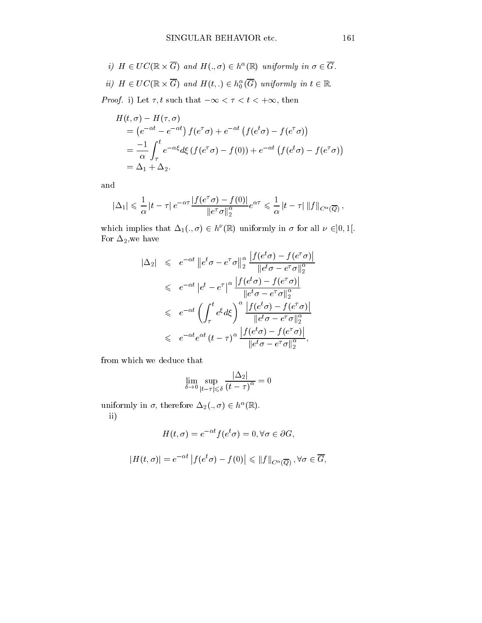\n- i) 
$$
H \in UC(\mathbb{R} \times \overline{G})
$$
 and  $H(.,\sigma) \in h^{\alpha}(\mathbb{R})$  uniformly in  $\sigma \in \overline{G}$ .
\n- ii)  $H \in UC(\mathbb{R} \times \overline{G})$  and  $H(t,.) \in h_0^{\alpha}(\overline{G})$  uniformly in  $t \in \mathbb{R}$ .
\n- *Proof.* i) Let  $\tau$ ,  $t$  such that  $-\infty < \tau < t < +\infty$ , then
\n

$$
H(t,\sigma) - H(\tau,\sigma)
$$
  
=  $(e^{-\alpha t} - e^{-\alpha t}) f(e^{\tau}\sigma) + e^{-\alpha t} (f(e^t\sigma) - f(e^{\tau}\sigma))$   
=  $\frac{-1}{\alpha} \int_{\tau}^{t} e^{-\alpha \xi} d\xi (f(e^{\tau}\sigma) - f(0)) + e^{-\alpha t} (f(e^t\sigma) - f(e^{\tau}\sigma))$   
=  $\Delta_1 + \Delta_2$ .

and

d  

$$
|\Delta_1| \leqslant \frac{1}{\alpha} |t - \tau| e^{-\alpha \tau} \frac{|f(e^{\tau}\sigma) - f(0)|}{\|e^{\tau}\sigma\|_2^{\alpha}} e^{\alpha \tau} \leqslant \frac{1}{\alpha} |t - \tau| \|f\|_{C^{\alpha}(\overline{Q})},
$$

which implies that  $\Delta_1(., \sigma) \in \mathbb{R}^r(\mathbb{R})$  uniformly in  $\sigma$  for all  $\nu \in ]0, 1[$ . For  $\Delta_2,$  we have

$$
|\Delta_2| \leq e^{-\alpha t} \|e^t \sigma - e^{\tau} \sigma\|_2^{\alpha} \frac{|f(e^t \sigma) - f(e^{\tau} \sigma)|}{|e^t \sigma - e^{\tau} \sigma\|_2^{\alpha}}
$$
  
\n
$$
\leq e^{-\alpha t} |e^t - e^{\tau}|^{\alpha} \frac{|f(e^t \sigma) - f(e^{\tau} \sigma)|}{|e^t \sigma - e^{\tau} \sigma\|_2^{\alpha}}
$$
  
\n
$$
\leq e^{-\alpha t} \left(\int_{\tau}^t e^{\xi} d\xi\right)^{\alpha} \frac{|f(e^t \sigma) - f(e^{\tau} \sigma)|}{|e^t \sigma - e^{\tau} \sigma\|_2^{\alpha}}
$$
  
\n
$$
\leq e^{-\alpha t} e^{\alpha t} (t - \tau)^{\alpha} \frac{|f(e^t \sigma) - f(e^{\tau} \sigma)|}{\|e^t \sigma - e^{\tau} \sigma\|_2^{\alpha}},
$$

from which we deduce that

$$
\lim_{\delta\to 0}\sup_{|t-\tau|\leqslant \delta}\frac{|\Delta_2|}{(t-\tau)^\alpha}=0
$$

uniformly in  $\sigma$ , therefore  $\Delta_2(.,\sigma) \in h^{\infty}(\mathbb{R}).$ ii)

$$
H(t,\sigma) = e^{-\alpha t} f(e^t \sigma) = 0, \forall \sigma \in \partial G,
$$

$$
|H(t,\sigma)| = e^{-\alpha t} |f(e^t \sigma) - f(0)| \leq ||f||_{C^{\alpha}(\overline{Q})}, \forall \sigma \in \overline{G},
$$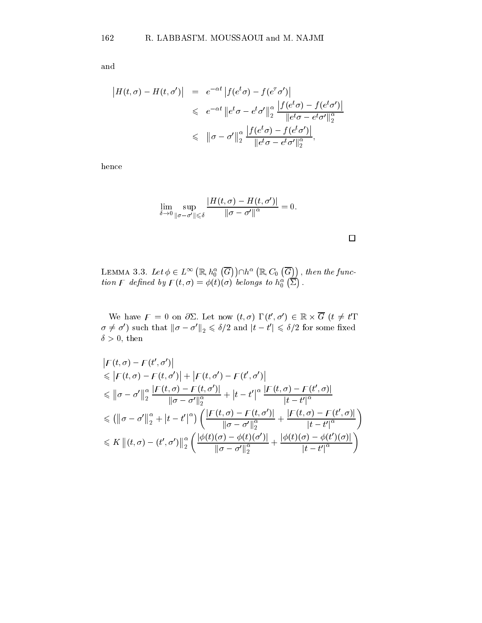and

$$
\begin{array}{rcl} \left| H(t,\sigma) - H(t,\sigma') \right| & = & e^{-\alpha t} \left| f(e^t \sigma) - f(e^\tau \sigma') \right| \\ & \leqslant & e^{-\alpha t} \left\| e^t \sigma - e^t \sigma' \right\|_2^{\alpha} \frac{\left| f(e^t \sigma) - f(e^t \sigma') \right|}{\left\| e^t \sigma - e^t \sigma' \right\|_2^{\alpha}} \\ & \leqslant & \left\| \sigma - \sigma' \right\|_2^{\alpha} \frac{\left| f(e^t \sigma) - f(e^t \sigma') \right|}{\left\| e^t \sigma - e^t \sigma' \right\|_2^{\alpha}}, \end{array}
$$

hence

$$
\lim_{\delta\to 0}\sup_{\|\sigma-\sigma'\|\leqslant\delta}\frac{|H(t,\sigma)-H(t,\sigma')|}{\|\sigma-\sigma'\|^{\alpha}}=0.
$$

 $\Box$ 

LEMMA 3.3. Let  $\phi \in L^{\infty}\left(\mathbb{R}, h_{0}^{\alpha}\left(\overline{G}\right)\right) \cap h^{\alpha}\left(\mathbb{R}, C_{0}\left(\overline{G}\right)\right),$  then the f  $\mathbf{r}$  then the function of the function  $\mathbf{r}$ tion F defined by  $F(t, \sigma) = \phi(t)(\sigma)$  belongs to  $h_0^{\alpha}(\overline{\Sigma})$ .

We have  $f = 0$  on  $\partial \Sigma$ . Let now  $(t, \sigma)$ ,  $(t, \sigma) \in \mathbb{R} \times G$   $(t \neq t$ ,  $\sigma \neq \sigma$ ) such that  $\|\sigma - \sigma\|_2 \leq \sigma/2$  and  $|t - t| \leq \sigma/2$  for some fixed  $\delta > 0$ , then

$$
|F(t, \sigma) - F(t', \sigma')|
$$
  
\n
$$
\leq |F(t, \sigma) - F(t, \sigma')| + |F(t, \sigma') - F(t', \sigma')|
$$
  
\n
$$
\leq ||\sigma - \sigma'||_2^{\alpha} \frac{|F(t, \sigma) - F(t, \sigma')|}{||\sigma - \sigma'||_2^{\alpha}} + |t - t'|^{\alpha} \frac{|F(t, \sigma) - F(t', \sigma)|}{|t - t'|^{\alpha}}
$$
  
\n
$$
\leq (||\sigma - \sigma'||_2^{\alpha} + |t - t'|^{\alpha}) \left( \frac{|F(t, \sigma) - F(t, \sigma')|}{||\sigma - \sigma'||_2^{\alpha}} + \frac{|F(t, \sigma) - F(t', \sigma)|}{|t - t'|^{\alpha}} \right)
$$
  
\n
$$
\leq K ||(t, \sigma) - (t', \sigma')||_2^{\alpha} \left( \frac{|\phi(t)(\sigma) - \phi(t)(\sigma')|}{||\sigma - \sigma'||_2^{\alpha}} + \frac{|\phi(t)(\sigma) - \phi(t')(\sigma)|}{|t - t'|^{\alpha}} \right)
$$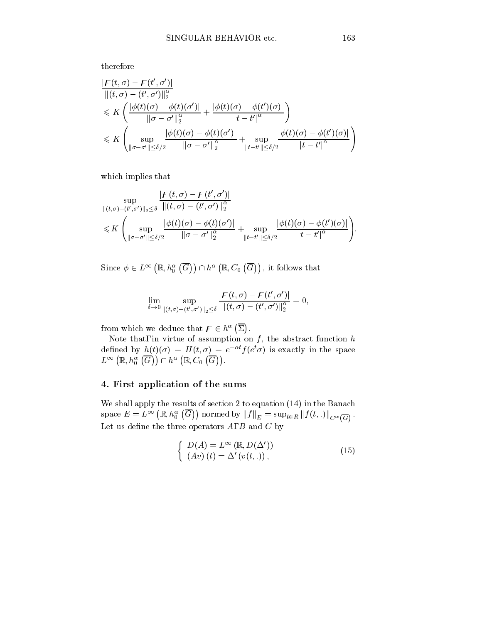therefore

$$
\frac{|F(t,\sigma)-F(t',\sigma')|}{||(t,\sigma)-(t',\sigma')||_2^{\alpha}}\leqslant K\left(\frac{|\phi(t)(\sigma)-\phi(t)(\sigma')|}{\|\sigma-\sigma'\|_2^{\alpha}}+\frac{|\phi(t)(\sigma)-\phi(t')(\sigma)|}{|t-t'|^{\alpha}}\right)\leqslant K\left(\sup_{\|\sigma-\sigma'\| \leqslant \delta/2}\frac{|\phi(t)(\sigma)-\phi(t)(\sigma')|}{\|\sigma-\sigma'\|_2^{\alpha}}+\sup_{\|t-t'\| \leqslant \delta/2}\frac{|\phi(t)(\sigma)-\phi(t')(\sigma)|}{|t-t'|^{\alpha}}\right)
$$

which implies that

$$
\sup_{\|(t,\sigma)-(t',\sigma')\|_2\leq\delta}\frac{|F(t,\sigma)-F(t',\sigma')|}{\|(t,\sigma)-(t',\sigma')\|_2^{\alpha}}\n\leq K\left(\sup_{\|\sigma-\sigma'\|\leq\delta/2}\frac{|\phi(t)(\sigma)-\phi(t)(\sigma')|}{\|\sigma-\sigma'\|_2^{\alpha}}+\sup_{\|t-t'\|\leq\delta/2}\frac{|\phi(t)(\sigma)-\phi(t')(\sigma)|}{|t-t'|^{\alpha}}\right).
$$

Since  $\phi \in L^{\infty}(\mathbb{R}, h_0^{\alpha}(\overline{G})) \cap h^{\alpha}(\mathbb{R}, C_0(\overline{G}))$ , it follows

$$
\lim_{\delta\to 0}\sup_{\|(t,\sigma)-(t',\sigma')\|_2\leq\delta}\frac{|F(t,\sigma)-F(t',\sigma')|}{\|(t,\sigma)-(t',\sigma')\|_2^\alpha}=0,
$$

from which we deduce that  $\mathcal{F} \in h^{\alpha}(\overline{\Sigma})$ .

Note that, in virtue of assumption on  $f$ , the abstract function  $h$ defined by  $n(t)(\sigma) = H(t, \sigma) = e^{-\sigma} f(e^{\sigma})$  is exactly in the space  $L^{\infty}\left(\mathbb{R}, h_{0}^{\alpha}\left(\overline{G}\right)\right) \cap h^{\alpha}\left(\mathbb{R}, C_{0}\left(\overline{G}\right)\right)$ .

## 4. First application of the sums

We shall apply the results of section 2 to equation (14) in the Banach  $\mathrm{space}\ E=L^\infty\left(\mathbb{R}, h^\alpha_0\left(\overline{G}\right)\right) \,\mathrm{normed}\ \mathrm{by}\ \|f\|_E=\sup_{t\in R} \left\|f(t,.)\right\|_{C^\alpha\left(\overline{G}\right)}.$ Let us define the three operators  $A, B$  and  $C$  by

$$
\begin{cases}\nD(A) = L^{\infty}(\mathbb{R}, D(\Delta')) \\
(Av)(t) = \Delta'(v(t, .)),\n\end{cases}
$$
\n(15)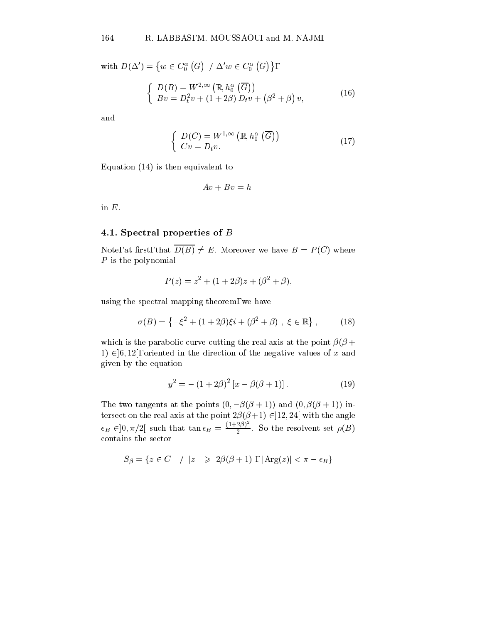with  $D(\Delta') = \{w \in C_0^{\alpha}(\overline{G}) \mid \Delta' w \in C_0^{\alpha}(\overline{G})\},\$  $\int D(B) = W^{2,\infty} (\mathbb{R}, h_0^{\alpha} (\overline{G}))$  $Bv = D_t^2v + (1+2\beta) D_t v + (\beta^2 + \beta)v,$  $v$ ,  $(16)$ 

and

$$
\begin{cases}\nD(C) = W^{1,\infty}(\mathbb{R}, h_0^{\alpha}(\overline{G})) \\
Cv = D_t v.\n\end{cases}
$$
\n(17)

Equation (14) is then equivalent to

$$
Av + Bv = h
$$

in  $E$ .

### 4.1. Spectral properties of <sup>B</sup>

Note, at first, that  $\overline{D(B)} \neq E$ . Moreover we have  $B = P(C)$  where P is the polynomial

$$
P(z) = z^2 + (1 + 2\beta)z + (\beta^2 + \beta),
$$

using the spectral mapping theorem, we have

$$
\sigma(B) = \left\{ -\xi^2 + (1+2\beta)\xi i + (\beta^2 + \beta) , \xi \in \mathbb{R} \right\},
$$
 (18)

which is the parabolic curve cutting the real axis at the point  $\beta(\beta +$ 1)  $\in$  [6, 12], oriented in the direction of the negative values of x and given by the equation

$$
y^{2} = -(1+2\beta)^{2} [x - \beta(\beta+1)]. \qquad (19)
$$

The two tangents at the points  $(0, -\beta(\beta + 1))$  and  $(0, \beta(\beta + 1))$  intersect on the real axis at the point  $2\beta(\beta+1) \in ]12, 24[$  with the angle  $\epsilon_B \in ]0, \pi/2[$  such that  $\tan \epsilon_B = \frac{(1+2\beta)^2}{2}$ . So the resolvent set  $\rho(B)$ contains the sector

$$
S_{\beta} = \{ z \in C \mid |z| \geq 2\beta(\beta + 1), |\text{Arg}(z)| < \pi - \epsilon_B \}
$$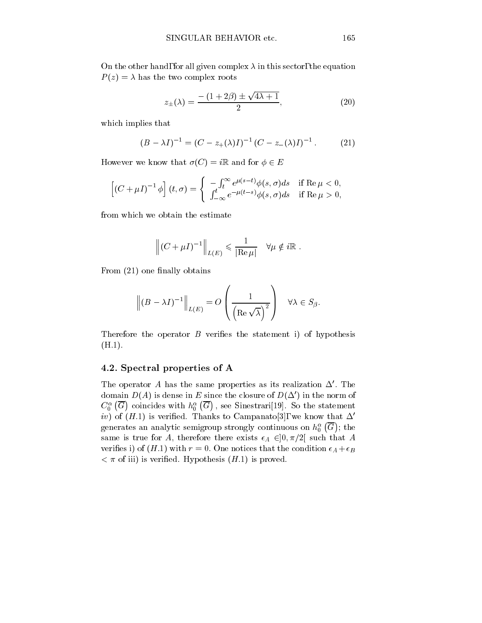On the other hand, for all given complex  $\lambda$  in this sector, the equation  $P(z) = \lambda$  has the two complex roots

$$
z_{\pm}(\lambda) = \frac{-\left(1+2\beta\right) \pm \sqrt{4\lambda+1}}{2},\tag{20}
$$

which implies that

$$
(B - \lambda I)^{-1} = (C - z_+(\lambda)I)^{-1} (C - z_-(\lambda)I)^{-1}.
$$
 (21)

However we know that  $\sigma(C) = i\mathbb{R}$  and for  $\phi \in E$ 

$$
\[ (C + \mu I)^{-1} \phi \] (t, \sigma) = \begin{cases} -\int_t^\infty e^{\mu(s-t)} \phi(s, \sigma) ds & \text{if } \operatorname{Re} \mu < 0, \\ \int_{-\infty}^t e^{-\mu(t-s)} \phi(s, \sigma) ds & \text{if } \operatorname{Re} \mu > 0, \end{cases}
$$

from which we obtain the estimate

$$
\left\| (C + \mu I)^{-1} \right\|_{L(E)} \leqslant \frac{1}{|\text{Re}\,\mu|} \quad \forall \mu \notin i\mathbb{R} .
$$

From  $(21)$  one finally obtains

$$
\left\| (B - \lambda I)^{-1} \right\|_{L(E)} = O\left( \frac{1}{\left( \text{Re}\sqrt{\lambda} \right)^2} \right) \quad \forall \lambda \in S_\beta.
$$

Therefore the operator  $B$  verifies the statement i) of hypothesis  $(H.1).$ 

## 4.2. Spectral properties of A

The operator A has the same properties as its realization  $\Delta'$ . The domain  $D(A)$  is dense in E since the closure of  $D(\Delta')$  in the norm of  $C_0^{\alpha}$  (G) coincides with  $h_0^{\alpha}$  (G), see Sinestr ; see Sinestrarius in Sinestrarius in Sinestrarius in Sinestrarius in Sinestrarius in Sinestrarius in Sinestrarius in Sinestrarius in Sinestrarius in Sinestra and Sinestra and Sinestra and Sinestra and Sinestra and Sinest iv) of  $(H.1)$  is verified. Thanks to Campanato[3], we know that  $\Delta'$ generates an analytic semigroup strongly continuous on  $h^{\alpha}_{0}(\overline{G});$  the  $\mathbf{r}$  the contract of the contract of the contract of the contract of the contract of the contract of the contract of the contract of the contract of the contract of the contract of the contract of the contract of the same is true for A, therefore there exists  $\epsilon_A \in ]0, \pi/2[$  such that A verifies i) of  $(H.1)$  with  $r=0$ . One notices that the condition  $\epsilon_A + \epsilon_B$  $\langle \pi$  of iii) is verified. Hypothesis  $(H.1)$  is proved.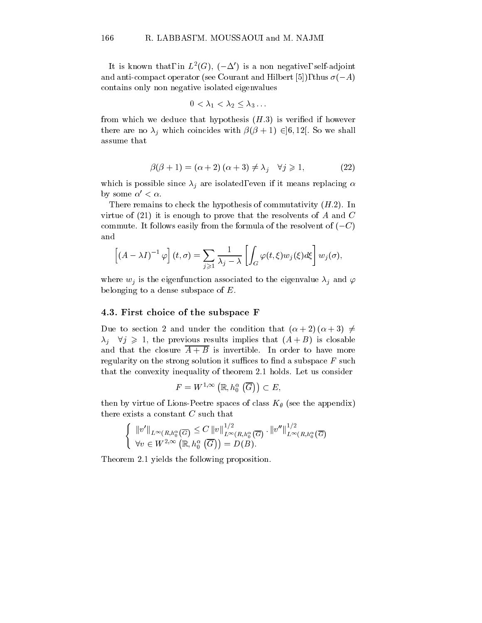It is known that, in  $L^-(G)$ ,  $t = \Delta + \text{is a non-negative, semi-adjoint}$ and anti-compact operator (see Courant and Hilbert [5]), thus  $\sigma(-A)$ contains only non negative isolated eigenvalues

$$
0<\lambda_1<\lambda_2\leq \lambda_3\ldots
$$

from which we deduce that hypothesis  $(H.3)$  is verified if however there are no  $\lambda_j$  which coincides with  $\beta(\beta + 1) \in ]6, 12[$ . So we shall assume that

$$
\beta(\beta + 1) = (\alpha + 2)(\alpha + 3) \neq \lambda_j \quad \forall j \geq 1,
$$
\n(22)

which is possible since  $\lambda_j$  are isolated, even if it means replacing  $\alpha$ by some  $\alpha' < \alpha$ .

There remains to check the hypothesis of commutativity  $(H.2)$ . In virtue of  $(21)$  it is enough to prove that the resolvents of A and C commute. It follows easily from the formula of the resolvent of  $(-C)$ and

$$
\[ (A - \lambda I)^{-1} \varphi \] (t, \sigma) = \sum_{j \geq 1} \frac{1}{\lambda_j - \lambda} \left[ \int_G \varphi(t, \xi) w_j(\xi) d\xi \right] w_j(\sigma),
$$

where  $w_j$  is the eigenfunction associated to the eigenvalue  $\lambda_j$  and  $\varphi$ belonging to a dense subspace of E.

### 4.3. First choice of the subspace F

Due to section 2 and under the condition that  $(\alpha + 2) (\alpha + 3) \neq$  $\lambda_i$   $\forall j \geq 1$ , the previous results implies that  $(A + B)$  is closable and that the closure  $\overline{A+B}$  is invertible. In order to have more regularity on the strong solution it suffices to find a subspace  $F$  such that the convexity inequality of theorem 2.1 holds. Let us consider

$$
F=W^{1,\infty}\left(\mathbb{R},h^\alpha_0\left(\overline{G}\right)\right)\subset E,
$$

then by virtue of Lions-Peetre spaces of class  $K_{\theta}$  (see the appendix) there exists a constant C such that

$$
\begin{cases} \n\|v'\|_{L^{\infty}(R,h_0^{\alpha}(\overline{G})} \leq C \|v\|_{L^{\infty}(R,h_0^{\alpha}(\overline{G})}^{1/2} \cdot \|v''\|_{L^{\infty}(R,h_0^{\alpha}(\overline{G})}^{1/2}) \\
\forall v \in W^{2,\infty}(\mathbb{R},h_0^{\alpha}(\overline{G})) = D(B).\n\end{cases}
$$

Theorem 2.1 yields the following proposition.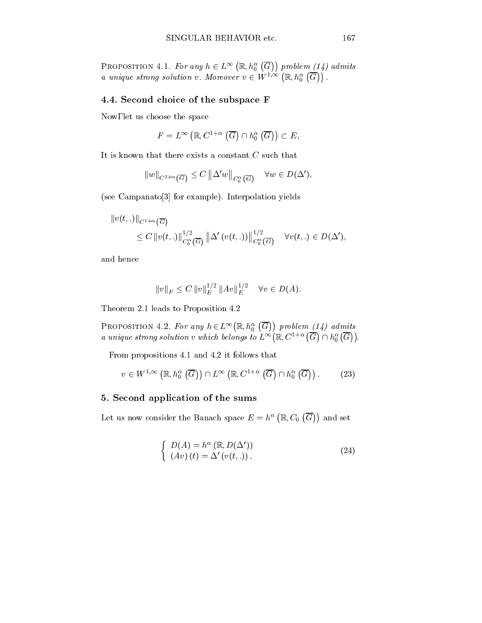PROPOSITION 4.1. For any  $h\in L^\infty\left(\mathbb{R}, h_0^\alpha\left(\overline{G}\right)\right)$  problem (1) problem (14) admits a unique strong solution v. Moreover  $v \in W^{1,\infty}\left(\mathbb{R}, h_0^{\alpha}\left(\overline{G}\right)\right)$ .

## 4.4. Second choice of the subspace F

Now, let us choose the space

$$
F = L^{\infty}(\mathbb{R}, C^{1+\alpha}(\overline{G}) \cap h_0^{\alpha}(\overline{G})) \subset E,
$$

It is known that there exists a constant C such that

$$
||w||_{C^{2+\alpha}(\overline{G})} \leq C ||\Delta' w||_{C_0^{\alpha}(\overline{G})} \quad \forall w \in D(\Delta'),
$$

(see Campanato[3] for example). Interpolation yields

$$
||v(t,.)||_{C^{1+\alpha}(\overline{G})}
$$
  
\$\leq C ||v(t,.)||\_{C\_0^{\alpha}(\overline{G})}^{1/2} ||\Delta'(v(t,.))||\_{C\_0^{\alpha}(\overline{G})}^{1/2} \quad \forall v(t,.) \in D(\Delta'),\$

and hence

$$
||v||_F \leq C ||v||_E^{1/2} ||Av||_E^{1/2} \quad \forall v \in D(A).
$$

Theorem 2.1 leads to Proposition 4.2

PROPOSITION 4.2. For any  $h \in L^{\infty}(\mathbb{R}, h_0^{\alpha}(\overline{G}))$  problem (1) a unique strong solution v which belongs to  $L^{\infty}(\mathbb{R}, C^{1+\alpha}(\overline{G}) \cap h^{\alpha}_{0}(\overline{G}))$ .

From propositions 4.1 and 4.2 it follows that

$$
v \in W^{1,\infty}(\mathbb{R}, h_0^{\alpha}(\overline{G})) \cap L^{\infty}(\mathbb{R}, C^{1+\alpha}(\overline{G}) \cap h_0^{\alpha}(\overline{G})). \tag{23}
$$

## 5. Second application of the sums

Let us now consider the Banach space  $E = h^{\alpha}(\mathbb{R}, C_0(\overline{G}))$  and set

$$
\begin{cases}\nD(A) = h^{\alpha} (\mathbb{R}, D(\Delta')) \\
(Av)(t) = \Delta' (v(t, .)),\n\end{cases}
$$
\n(24)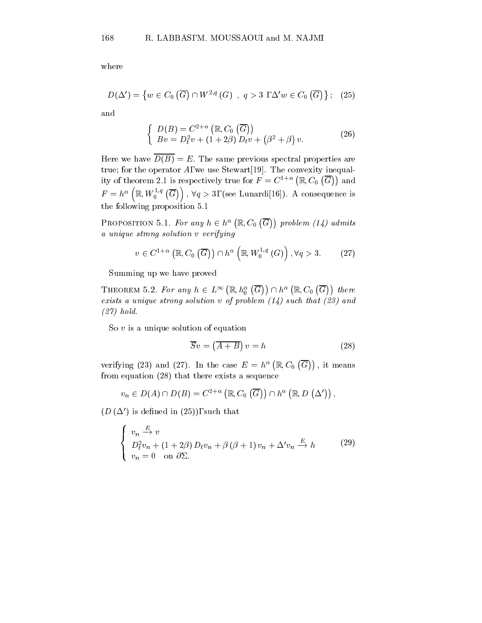where

$$
D(\Delta') = \{ w \in C_0(\overline{G}) \cap W^{2,q}(G) , q > 3 , \Delta' w \in C_0(\overline{G}) \}; (25)
$$

and

$$
\begin{cases}\nD(B) = C^{2+\alpha} (\mathbb{R}, C_0 (\overline{G})) \\
Bv = D_t^2 v + (1+2\beta) D_t v + (\beta^2 + \beta) v.\n\end{cases}
$$
\n(26)

Here we have  $\overline{D(B)} = E$ . The same previous spectral properties are true; for the operator  $A$ , we use Stewart [19]. The convexity inequality of theorem 2.1 is respectively true for  $F = C^{1+\alpha}(\mathbb{R}, C_0(\overline{G}))$  and  $F=h^{\alpha}\left(\mathbb{R},W_{0}^{1,q}\left(\overline{G}\right)\right),\,\forall q>3,\,\left(\text{see Lunardi}[16]\right).$  A consequence is the following proposition 5.1

PROPOSITION 5.1. For any  $h \in h^{\alpha}(\mathbb{R}, C_0(\overline{G}))$  problem (1)  $p \cdot \cdot \cdot \cdot \cdot \cdot \cdot \cdot \cdot \cdot \cdot \cdot \cdot \cdot$ a unique strong solution v verifying

$$
v \in C^{1+\alpha} \left( \mathbb{R}, C_0 \left( \overline{G} \right) \right) \cap h^{\alpha} \left( \mathbb{R}, W_0^{1,q} \left( G \right) \right), \forall q > 3. \tag{27}
$$

Summing up we have proved

THEOREM 5.2. For any  $h \in L^{\infty}\left(\mathbb{R}, h_0^{\alpha}\left(\overline{G}\right)\right) \cap h^{\alpha}\left(\mathbb{R}, C_0\left(\overline{G}\right)\right)$  there exists a unique strong solution  $v$  of problem  $(14)$  such that  $(23)$  and (27) hold.

So  $v$  is a unique solution of equation

$$
\overline{S}v = \left(\overline{A+B}\right)v = h\tag{28}
$$

verifying (23) and (27). In the case  $E = h^{\alpha}(\mathbb{R}, C_0(\overline{G}))$ , it means from equation (28) that there exists a sequence

$$
v_n\in D(A)\cap D(B)=C^{2+\alpha}\left(\mathbb{R},C_0\left(\overline{G}\right)\right)\cap h^\alpha\left(\mathbb{R},D\left(\Delta'\right)\right),
$$

 $(D(\Delta))$  is defined in  $(25)$ , such that

$$
\begin{cases}\nv_n \stackrel{E}{\longrightarrow} v \\
D_t^2 v_n + (1 + 2\beta) D_t v_n + \beta (\beta + 1) v_n + \Delta' v_n \stackrel{E}{\longrightarrow} h \\
v_n = 0 \quad \text{on } \partial \Sigma.\n\end{cases} \tag{29}
$$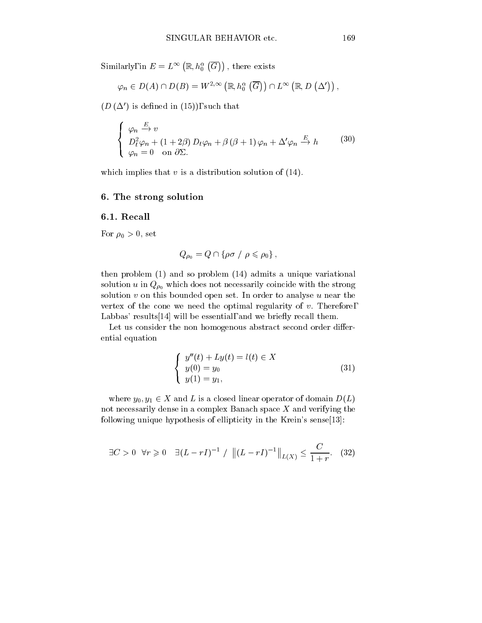Similarly, in  $E = L^{\infty}\left(\mathbb{R}, h_0^{\alpha}\left(\overline{G}\right)\right)$  , there exis

$$
\varphi_n \in D(A) \cap D(B) = W^{2,\infty}\left( \mathbb{R}, h^{\alpha}_0\left( \overline{G}\right) \right) \cap L^{\infty}\left( \mathbb{R}, D\left( \Delta' \right) \right),
$$

 $(D(\Delta')$  is defined in (15)), such that

$$
\begin{cases}\n\varphi_n \stackrel{E}{\longrightarrow} v \\
D_t^2 \varphi_n + (1 + 2\beta) D_t \varphi_n + \beta (\beta + 1) \varphi_n + \Delta' \varphi_n \stackrel{E}{\longrightarrow} h \\
\varphi_n = 0 \quad \text{on } \partial \Sigma.\n\end{cases}
$$
\n(30)

which implies that  $v$  is a distribution solution of  $(14)$ .

## 6. The strong solution

## 6.1. Recall

For  $\rho_0 > 0$ , set

$$
Q_{\rho_0} = Q \cap \{ \rho \sigma / \rho \leqslant \rho_0 \},
$$

then problem (1) and so problem (14) admits a unique variational solution u in  $Q_{\rho_0}$  which does not necessarily coincide with the strong solution  $v$  on this bounded open set. In order to analyse  $u$  near the vertex of the cone we need the optimal regularity of  $v$ . Therefore, Labbas' results  $[14]$  will be essential, and we briefly recall them.

Let us consider the non homogenous abstract second order differential equation

$$
\begin{cases}\n y''(t) + Ly(t) = l(t) \in X \\
 y(0) = y_0 \\
 y(1) = y_1,\n\end{cases}
$$
\n(31)

where  $y_0, y_1 \in X$  and L is a closed linear operator of domain  $D(L)$ not necessarily dense in a complex Banach space  $X$  and verifying the following unique hypothesis of ellipticity in the Krein's sense[13]:

$$
\exists C > 0 \ \forall r \geq 0 \ \exists (L - rI)^{-1} / \left\| (L - rI)^{-1} \right\|_{L(X)} \leq \frac{C}{1 + r}.
$$
 (32)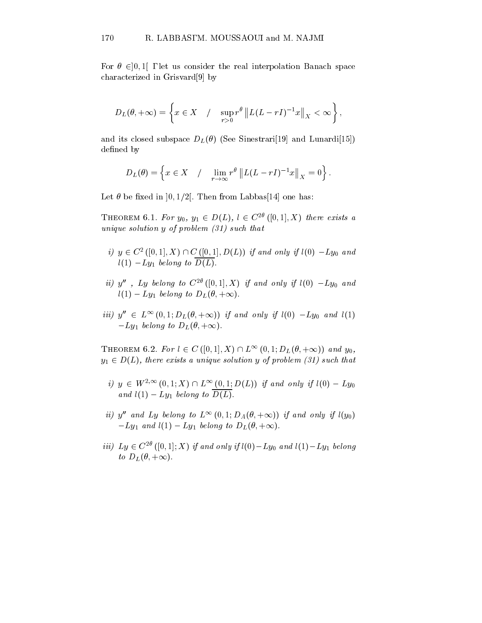For  $\theta \in ]0,1[$ , let us consider the real interpolation Banach space characterized in Grisvard[9] by

$$
D_L(\theta, +\infty) = \left\{ x \in X \mid \int \sup_{r>0} r^{\theta} \| L(L-rI)^{-1}x \|_X < \infty \right\},\,
$$

and its closed subspace  $D_L(\theta)$  (See Sinestrari[19] and Lunardi[15]) defined by

$$
D_L(\theta) = \left\{ x \in X \quad / \quad \lim_{r \to \infty} r^{\theta} \left\| L(L - rI)^{-1}x \right\|_X = 0 \right\}.
$$

Let  $\theta$  be fixed in  $]0,1/2[$ . Then from Labbas[14] one has:

THEOREM 6.1. For  $y_0, y_1 \in D(L), l \in C^{2\theta}([0, 1], X)$  there exists a unique solution y of problem (31) such that

- $i)$   $y \in C^{\infty}$  ([0, 1],  $\Lambda$ )  $\cap$   $C$  ([0, 1],  $D(L)$ ) if and only if  $i(0) Ly_0$  and  $l(1)$   $-Ly_1$  belong to  $D(L)$ .
- ii) y'', Ly belong to  $C^{2\theta}$  ([0,1], X) if and only if  $l(0) Ly_0$  and  $l(1) - Ly_1$  belong to  $D_L(\theta, +\infty)$ .
- iii)  $y'' \in L^{\infty}(0, 1; D_L(\theta, +\infty))$  if and only if  $l(0) -Ly_0$  and  $l(1)$  $-Ly_1$  belong to  $D_L(\theta, +\infty)$ .

THEOREM 6.2. For  $l \in C([0, 1], X) \cap L^{\infty}(0, 1; D_L(\theta, +\infty))$  and  $y_0$ ,  $y_1 \in D(L)$ , there exists a unique solution y of problem (31) such that

- i)  $y \in W^{2,\infty}(0,1; X) \cap L^{\infty}(0,1; D(L))$  if and only if  $l(0) Ly_0$ and  $l(1) - Ly_1$  belong to  $\overline{D(L)}$ .
- ii) y<sup>n</sup> and Ly belong to  $L^{\infty}(0, 1; D_A(\theta, +\infty))$  if and only if  $l(y_0)$  $-Ly_1$  and  $l(1) - Ly_1$  belong to  $D_L(\theta, +\infty)$ .
- *iii*)  $Ly \in C^{2\theta}$  ([0, 1]; X) *if and only if*  $l(0) Ly_0$  *and*  $l(1) Ly_1$  belong to  $D_L(\theta, +\infty)$ .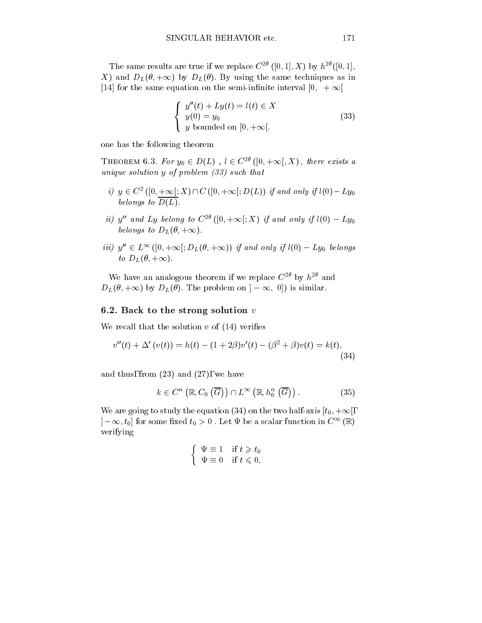The same results are true if we replace  $C^{2\theta}$  ([0, 1], X) by  $h^{2\theta}$  ([0, 1], X) and  $D_L(\theta, +\infty)$  by  $D_L(\theta)$ . By using the same techniques as in [14] for the same equation on the semi-infinite interval [0,  $+ \infty$ [

$$
\begin{cases}\n y''(t) + Ly(t) = l(t) \in X \\
 y(0) = y_0 \\
 y \text{ bounded on } [0, +\infty[.\n\end{cases}
$$
\n(33)

one has the following theorem

THEOREM 6.3. For  $y_0 \in D(L)$ ,  $l \in C^{2\theta}([0, +\infty], X)$ , there exists a unique solution y of problem (33) such that

- $i,j \in C^2$  ([0,  $+\infty$ ];  $\Lambda$  ) i iC ([0,  $+\infty$ ];  $D(L)$ ) if and only if  $\iota(0) Ly_0$ belongs to D(L).
- ii) y'' and Ly belong to  $C^{2\theta}([0, +\infty[; X)$  if and only if  $l(0) Ly_0$ belongs to  $D_L(\theta, +\infty)$ .
- iii)  $y'' \in L^{\infty}([0, +\infty); D_L(\theta, +\infty))$  if and only if  $l(0) Ly_0$  belongs to  $D_L(\theta, +\infty)$ .

We have an analogous theorem if we replace  $C^+$  by  $h^{-1}$  and We have an analogous theorem if we replace  $C^{2\theta}$  by  $h^{2\theta}$  and  $D_L(\theta, +\infty)$  by  $D_L(\theta)$ . The problem on  $]-\infty$ , 0]) is similar.

### 6.2. Back to the strong solution  $v$

We recall that the solution  $v$  of  $(14)$  verifies

$$
v''(t) + \Delta'(v(t)) = h(t) - (1 + 2\beta)v'(t) - (\beta^2 + \beta)v(t) = k(t),
$$
\n(34)

and thus, from  $(23)$  and  $(27)$ , we have

$$
k \in C^{\alpha}\left(\mathbb{R}, C_0\left(\overline{G}\right)\right) \cap L^{\infty}\left(\mathbb{R}, h_0^{\alpha}\left(\overline{G}\right)\right). \tag{35}
$$

We are going to study the equation (34) on the two half-axis  $[t_0, +\infty[,$  $]-\infty, t_0]$  for some fixed  $t_0 > 0$ . Let  $\Psi$  be a scalar function in  $C^{\infty}(\mathbb{R})$ verifying

$$
\begin{cases} \Psi \equiv 1 & \text{if } t \geq t_0 \\ \Psi \equiv 0 & \text{if } t \leq 0, \end{cases}
$$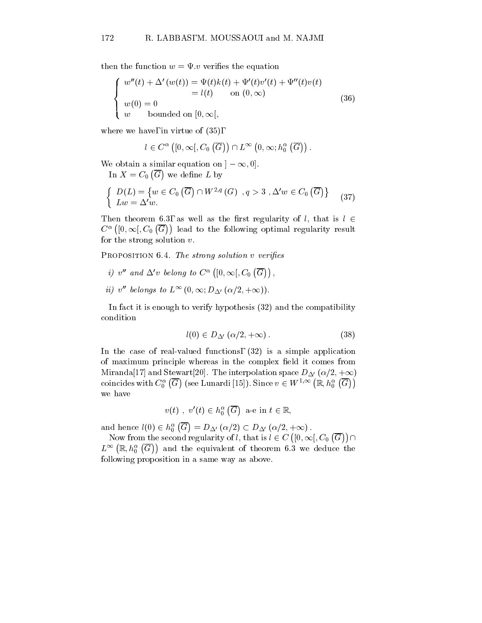then the function  $w = \Psi \, v$  verifies the equation

$$
\begin{cases}\nw''(t) + \Delta'(w(t)) = \Psi(t)k(t) + \Psi'(t)v'(t) + \Psi''(t)v(t) \\
= l(t) \quad \text{on } (0, \infty) \\
w(0) = 0 \\
w \quad \text{bounded on } [0, \infty[,\n\end{cases}
$$
\n(36)

where we have, in virtue of (35),

$$
l\in C^{\alpha}\left([0,\infty[, C_0\left(\overline{G}\right)\right)\cap L^{\infty}\left(0,\infty; h_0^{\alpha}\left(\overline{G}\right)\right).
$$

we define the contract of the contract of the contract of the contract of the contract of the contract of the contract of the contract of the contract of the contract of the contract of the contract of the contract of the

We obtain a similar equation on  $]-\infty,0].$ In  $X = C_0(\overline{G})$  we define L

$$
\begin{cases} D(L) = \{ w \in C_0(\overline{G}) \cap W^{2,q}(G) \mid q > 3 \}, \Delta' w \in C_0(\overline{G}) \} \\ Lw = \Delta' w. \end{cases} (37)
$$

Then theorem 6.3, as well as the first regularity of l, that is  $l \in$  $C^{\alpha}([0,\infty[, C_0(\overline{G}))$  lead to the leads to the following optimal regularity results. for the strong solution  $v$ .

PROPOSITION 6.4. The strong solution v verifies

- i) v'' and  $\Delta'v$  belong to  $C^{\alpha}([0,\infty[,C_0(\overline{G}))$ ,
- ii) v<sup>n</sup> belongs to  $L^{\infty}(0,\infty; D_{\Delta}(\alpha/2, +\infty)).$

In fact it is enough to verify hypothesis  $(32)$  and the compatibility condition

$$
l(0) \in D_{\Delta'}\left(\alpha/2, +\infty\right). \tag{38}
$$

In the case of real-valued functions, (32) is a simple application of maximum principle whereas in the complex field it comes from Miranda[17] and Stewart[20]. The interpolation space  $D_{\Delta'} (\alpha/2, +\infty)$ coincides with  $C_0^\alpha\left(\overline{G}\right)$  (see Lunardi [15]). Since  $v\in W^{1,\infty}\left(\mathbb{R}, h_0^\alpha\left(\overline{G}\right)\right)$ we have

$$
v(t) , v'(t) \in h_0^{\alpha}(\overline{G}) \ \text{a-e in } t \in \mathbb{R},
$$

and hence  $l(0) \in h_0^{\alpha} (\overline{G}) = D_{\Delta'} (\alpha/2) \subset D_{\Delta'} (\alpha/2, +\infty)$  .

Now from the second regularity of l, that is  $l \in C([0,\infty[,C_0(\overline{G})) \cap$  $L^\infty\left(\mathbb{R}, h^\alpha_0\left(\overline{G}\right)\right)$  and the e and the equivalent of theorem 6.3 we deduce the theorem following proposition in a same way as above.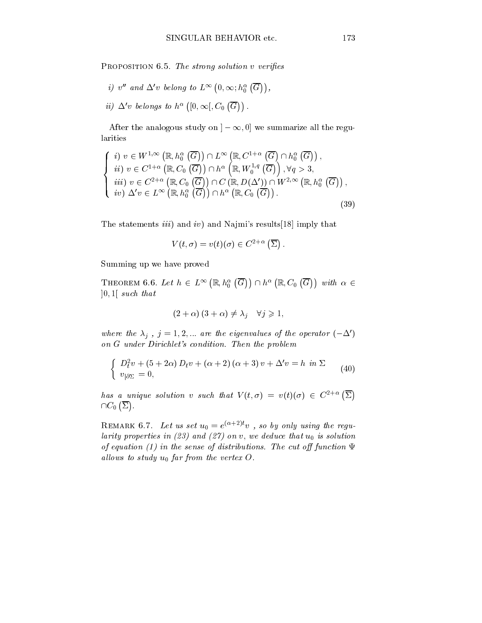PROPOSITION 6.5. The strong solution v verifies

i) v" and  $\Delta'v$  belong to  $L^{\infty}\left(0,\infty;h_{0}^{\alpha}\left(\overline{G}\right)\right),$ ii)  $\Delta'v$  belongs to  $h^{\alpha}$  ([0,  $\infty$ [,  $C_0$  ( $\overline{G}$ )).

After the analogous study on  $] - \infty, 0]$  we summarize all the regularities

$$
\begin{cases}\ni v \in W^{1,\infty}(\mathbb{R}, h_0^{\alpha}(\overline{G})) \cap L^{\infty}(\mathbb{R}, C^{1+\alpha}(\overline{G}) \cap h_0^{\alpha}(\overline{G})), \\
ii) v \in C^{1+\alpha}(\mathbb{R}, C_0(\overline{G})) \cap h^{\alpha}(\mathbb{R}, W_0^{1,q}(\overline{G})), \forall q > 3, \\
iii) v \in C^{2+\alpha}(\mathbb{R}, C_0(\overline{G})) \cap C(\mathbb{R}, D(\Delta')) \cap W^{2,\infty}(\mathbb{R}, h_0^{\alpha}(\overline{G})), \\
iv) \Delta' v \in L^{\infty}(\mathbb{R}, h_0^{\alpha}(\overline{G})) \cap h^{\alpha}(\mathbb{R}, C_0(\overline{G})).\n\end{cases} (39)
$$

The statements  $iii)$  and  $iv)$  and Najmi's results [18] imply that

$$
V(t,\sigma)=v(t)(\sigma)\in C^{2+\alpha}\left(\overline{\Sigma}\right).
$$

Summing up we have proved

THEOREM 6.6. Let  $h \in L^{\infty}\left(\mathbb{R}, h_0^{\alpha}\left(\overline{G}\right)\right) \cap h^{\alpha}\left(\mathbb{R}, C_0\left(\overline{G}\right)\right)$  with  $\alpha \in$  $]0,1[$  such that

$$
(2+\alpha)(3+\alpha) \neq \lambda_j \quad \forall j \geqslant 1,
$$

where the  $\lambda_j$ ,  $j = 1, 2, ...$  are the eigenvalues of the operator  $(-\Delta')$ on G under Dirichlet's condition. Then the problem

$$
\begin{cases}\nD_t^2 v + (5 + 2\alpha) D_t v + (\alpha + 2) (\alpha + 3) v + \Delta' v = h \text{ in } \Sigma \\
v_{|\partial\Sigma} = 0,\n\end{cases} \tag{40}
$$

has a unique solution v such that  $V(t, \sigma) = v(t)(\sigma) \in C^{2+\alpha}(\Sigma)$   $\cap C_0(\overline{\Sigma})$ .

REMARK 0.1. Let us set  $u_0 = e^{(-1)^2 + 2y}v$ , so by only using the regularity properties in  $(23)$  and  $(27)$  on v, we deduce that  $u_0$  is solution of equation (1) in the sense of distributions. The cut off function  $\Psi$ allows to study  $u_0$  far from the vertex O.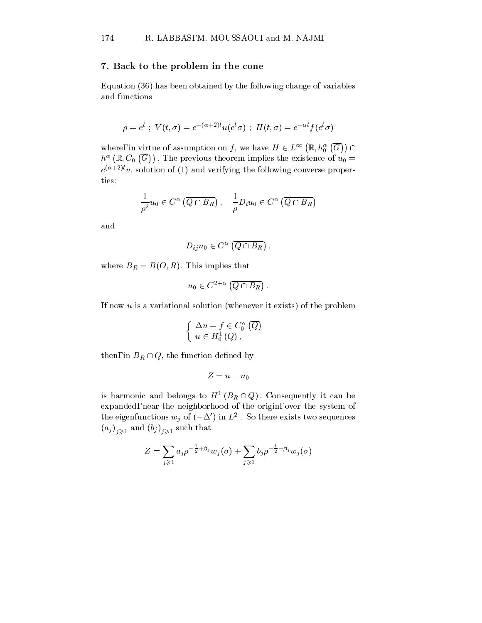#### 7. Back to the problem in the cone

Equation (36) has been obtained by the following change of variables and functions

$$
\rho = e^t \; ; \; V(t,\sigma) = e^{-(\alpha+2)t} u(e^t \sigma) \; ; \; H(t,\sigma) = e^{-\alpha t} f(e^t \sigma)
$$

where, in virtue of assumption on f, we have  $H \in L^{\infty}\left(\mathbb{R}, h_0^{\alpha}\left(\overline{G}\right)\right) \cap$  $h^\alpha\left(\mathbb{R},C_0\left(\overline{G}\right)\right)$  . The previ  $\mathbf{r}$  theorem implies the existence of uncertainty of uncertainty  $\mathbf{u}$  $e^{(-1)}$ , solution of (1) and verifying the following converse properties:

$$
\frac{1}{\rho^2}u_0 \in C^{\alpha}\left(\overline{Q \cap B_R}\right), \quad \frac{1}{\rho}D_i u_0 \in C^{\alpha}\left(\overline{Q \cap B_R}\right)
$$

and

$$
D_{ij}u_0\in C^{\alpha}\left(\overline{Q\cap B_R}\right),\,
$$

where  $B_R = B(O, R)$ . This implies that

$$
u_0 \in C^{2+\alpha}(\overline{Q \cap B_R}).
$$

If now  $u$  is a variational solution (whenever it exists) of the problem

$$
\begin{cases} \Delta u = f \in C_0^{\alpha} (\overline{Q}) \\ u \in H_0^1 (Q), \end{cases}
$$

then, in  $B_R \cap Q$ , the function defined by

$$
Z=u-u_0
$$

is narmonic and belongs to  $H^+(B_R \sqcup Q)$ . Consequently it can be expanded, near the neighborhood of the origin, over the system of the eigenfunctions  $w_i$  of ( $-\Delta$ ) in  $L^2$ . So there exists two sequences  $\langle j/1/2, 1 \rangle$ 

$$
Z = \sum_{j\geqslant 1} a_j \rho^{-\frac{1}{2}+\beta_j} w_j(\sigma) + \sum_{j\geqslant 1} b_j \rho^{-\frac{1}{2}-\beta_j} w_j(\sigma)
$$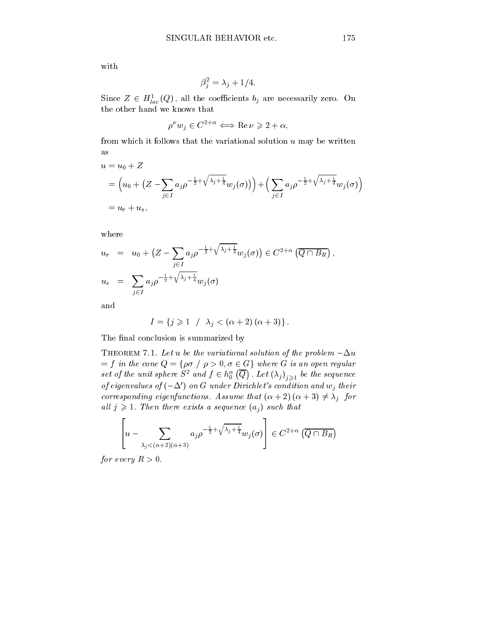with

$$
\beta_j^2 = \lambda_j + 1/4.
$$

Since  $Z \in H_{loc}^{\tau}(Q)$ , all the coefficients  $\theta_j$  are necessarily zero. On the other hand we knows that

$$
\rho^{\nu} w_j \in C^{2+\alpha} \Longleftrightarrow \text{Re}\,\nu \geqslant 2+\alpha,
$$

from which it follows that the variational solution  $u$  may be written as

$$
u = u_0 + Z
$$
  
=  $(u_0 + (Z - \sum_{j \in I} a_j \rho^{-\frac{1}{2} + \sqrt{\lambda_j + \frac{1}{4}}} w_j(\sigma))) + (\sum_{j \in I} a_j \rho^{-\frac{1}{2} + \sqrt{\lambda_j + \frac{1}{4}}} w_j(\sigma))$   
=  $u_r + u_s$ ,

where

$$
u_r = u_0 + (Z - \sum_{j \in I} a_j \rho^{-\frac{1}{2} + \sqrt{\lambda_j + \frac{1}{4}}} w_j(\sigma)) \in C^{2+\alpha} (\overline{Q \cap B_R}),
$$
  

$$
u_s = \sum_{j \in I} a_j \rho^{-\frac{1}{2} + \sqrt{\lambda_j + \frac{1}{4}}} w_j(\sigma)
$$

and

$$
I = \{ j \geq 1 \mid \lambda_j < (\alpha + 2) (\alpha + 3) \}.
$$

The final conclusion is summarized by

THEOREM 7.1. Let u be the variational solution of the problem  $-\Delta u$  $=$  f in the cone  $Q = \rho \sigma + \rho > 0, \sigma \in G$  where G is an open requtar set of the unit sphere  $S^2$  and  $f \in h_0^{\alpha}(\overline{Q})$  . Let  $(\lambda_j)_{j \geq 1}$  $\sqrt{J^2/21}$  is the sequence of  $\frac{1}{2}$ of eigenvalues of  $(-\Delta')$  on G under Dirichlet's condition and  $w_j$  their corresponding eigenfunctions. Assume that  $(\alpha + 2) (\alpha + 3) \neq \lambda_j$  for all  $j \geqslant 1$ . Then there exists a sequence  $(a_j)$  such that

$$
\left[u - \sum_{\lambda_j < (\alpha+2)(\alpha+3)} a_j \rho^{-\frac{1}{2} + \sqrt{\lambda_j + \frac{1}{4}}} w_j(\sigma)\right] \in C^{2+\alpha}(\overline{Q \cap B_R})
$$

for every  $R > 0$ .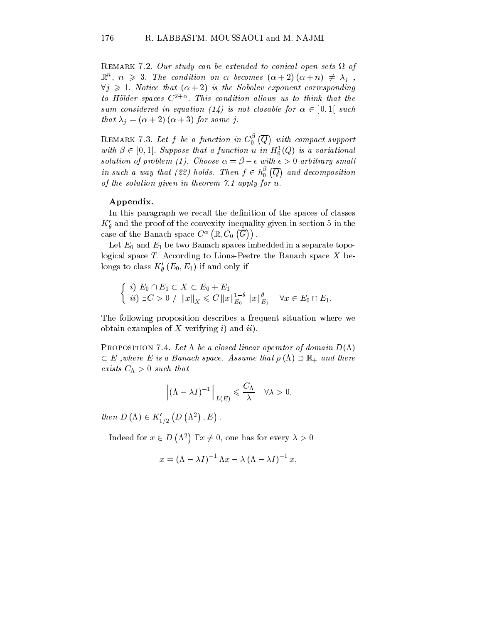Remark 7.2. Our study can be extended to conical open sets of  $\mathbb{R}^n$ ,  $n \geqslant 3$ . The condition on  $\alpha$  becomes  $(\alpha + 2)$   $(\alpha + n) \neq \lambda_j$ ,  $\forall j \geq 1$ . Notice that  $(\alpha + 2)$  is the Sobolev exponent corresponding to Holder spaces C2+ : This condition al lows us to think that the sum considered in equation (14) is not closable for  $\alpha \in [0,1]$  such that  $\lambda_i = (\alpha + 2) (\alpha + 3)$  for some j.

REMARK 7.3. Let  $f$  be a function in  $C_0^{\beta}$   $(\overline{Q})$  with compa with compact support support to the company of the company of the company of the company of the company of the with  $p \in [0, 1]$ . Suppose that a function u in  $H_0^-(Q)$  is a variational solution of problem (1). Choose  $\alpha = \beta - \epsilon$  with  $\epsilon > 0$  arbitrary small in such a way that (22) holds. Then  $f \in h_0^{\beta}(\overline{Q})$  and decomp and decomposition of the components of the components of the components of the components of the components of of the solution given in theorem 7.1 apply for u.

#### Appendix.

In this paragraph we recall the definition of the spaces of classes  $K'_{\theta}$  and the proof of the convexity inequality given in section 5 in the case of the Banach space  $C^{\alpha}(\mathbb{R},C_0(\overline{G}))$ .

Let  $E_0$  and  $E_1$  be two Banach spaces imbedded in a separate topological space  $T$ . According to Lions-Peetre the Banach space  $X$  belongs to class  $K'_\theta(E_0, E_1)$  if and only if

$$
\begin{cases} i) \ E_0 \cap E_1 \subset X \subset E_0 + E_1 \\ ii) \ \exists C > 0 \ / \ \|x\|_X \leq C \ \|x\|_{E_0}^{1-\theta} \|x\|_{E_1}^{\theta} \quad \forall x \in E_0 \cap E_1. \end{cases}
$$

The following proposition describes a frequent situation where we obtain examples of  $X$  verifying i) and ii).

PROPOSITION 7.4. Let  $\Lambda$  be a closed linear operator of domain  $D(\Lambda)$  $\subset$  E ,where E is a Banach space. Assume that  $\rho$  ( $\Lambda$ )  $\supset$   $\mathbb{R}_+$  and there exists  $C_{\Lambda} > 0$  such that

$$
\left\| (\Lambda - \lambda I)^{-1} \right\|_{L(E)} \leqslant \frac{C_{\Lambda}}{\lambda} \quad \forall \lambda > 0,
$$

then  $D(\Lambda) \in K'_{1/2}$   $(D(\Lambda^2), E)$ .

Indeed for  $x \in D(\Lambda^2)$ ,  $x \neq 0$ , one has for every  $\lambda > 0$ 

$$
x = \left(\Lambda - \lambda I\right)^{-1} \Lambda x - \lambda \left(\Lambda - \lambda I\right)^{-1} x,
$$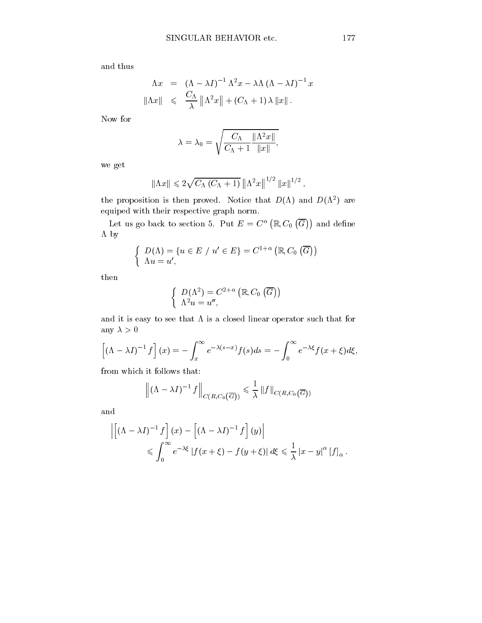and thus

$$
\begin{array}{rcl}\n\Lambda x & = & \left(\Lambda - \lambda I\right)^{-1} \Lambda^2 x - \lambda \Lambda \left(\Lambda - \lambda I\right)^{-1} x \\
\|\Lambda x\| & \leqslant & \frac{C_{\Lambda}}{\lambda} \|\Lambda^2 x\| + \left(C_{\Lambda} + 1\right) \lambda \left\|x\right\|.\n\end{array}
$$

Now for

$$
\lambda = \lambda_0 = \sqrt{\frac{C_{\Lambda}}{C_{\Lambda} + 1} \frac{\|\Lambda^2 x\|}{\|x\|}},
$$

we get

$$
\|\Lambda x\| \leqslant 2\sqrt{C_{\Lambda}(C_{\Lambda}+1)}\,\|\Lambda^2 x\|^{1/2}\,\|x\|^{1/2}\,,
$$

the proposition is then proved. Notice that  $D(\Lambda)$  and  $D(\Lambda^2)$  are equiped with their respective graph norm.

Let us go back to section 5. Put  $E = C^{\alpha}(\mathbb{R}, C_0(\overline{G}))$  and define  $\Lambda$  by

$$
\begin{cases}\nD(\Lambda) = \{u \in E \mid u' \in E\} = C^{1+\alpha} (\mathbb{R}, C_0 (\overline{G})) \\
\Lambda u = u',\n\end{cases}
$$

then

$$
\left\{\begin{array}{l} D(\Lambda^2)=C^{2+\alpha}\left(\mathbb{R},C_0\left(\overline{G}\right)\right)\\ \Lambda^2 u=u'',\end{array}\right.
$$

and it is easy to see that  $\Lambda$  is a closed linear operator such that for any  $\lambda > 0$ 

$$
\left[ (\Lambda - \lambda I)^{-1} f \right] (x) = - \int_x^{\infty} e^{-\lambda (s-x)} f(s) ds = - \int_0^{\infty} e^{-\lambda \xi} f(x+\xi) d\xi,
$$

from which it follows that:

$$
\left\| (\Lambda - \lambda I)^{-1} f \right\|_{C(R, C_0(\overline{G}))} \leqslant \frac{1}{\lambda} \left\| f \right\|_{C(R, C_0(\overline{G}))}
$$

and

$$
\left| \left[ (\Lambda - \lambda I)^{-1} f \right] (x) - \left[ (\Lambda - \lambda I)^{-1} f \right] (y) \right|
$$
  
\$\leqslant \int\_0^\infty e^{-\lambda \xi} |f(x + \xi) - f(y + \xi)| d\xi \leqslant \frac{1}{\lambda} |x - y|^\alpha [f]\_\alpha\$.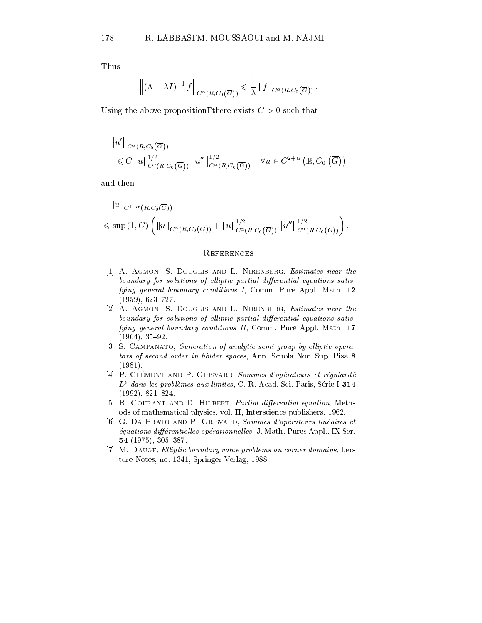Thus

$$
\left\| (\Lambda - \lambda I)^{-1} f \right\|_{C^{\alpha}(R,C_0(\overline{G}))} \leq \frac{1}{\lambda} \| f \|_{C^{\alpha}(R,C_0(\overline{G}))}.
$$

Using the above proposition, there exists  $C > 0$  such that

$$
||u'||_{C^{\alpha}(R,C_0(\overline{G}))}
$$
  
\$\leq C ||u||\_{C^{\alpha}(R,C\_0(\overline{G}))}^{1/2} ||u''||\_{C^{\alpha}(R,C\_0(\overline{G}))}^{1/2}\$  $\forall u \in C^{2+\alpha} (\mathbb{R},C_0(\overline{G}))$ 

$$
\|u\|_{C^{1+\alpha}\left(R,C_0(\overline{G})\right)} \leqslant \sup\left(1,C\right) \left( \|u\|_{C^{\alpha}(R,C_0\left(\overline{G}\right))}+\|u\|_{C^{\alpha}(R,C_0\left(\overline{G}\right))}^{1/2}\|u''\|_{C^{\alpha}(R,C_0\left(\overline{G}\right))}^{1/2}\right).
$$

#### **REFERENCES**

- [1] A. AGMON, S. DOUGLIS AND L. NIRENBERG, Estimates near the boundary for solutions of elliptic partial differential equations satisfying general boundary conditions I, Comm. Pure Appl. Math. 12  $(1959), 623 - 727.$
- [2] A. AGMON, S. DOUGLIS AND L. NIRENBERG, Estimates near the boundary for solutions of elliptic partial differential equations satisfying general boundary conditions II, Comm. Pure Appl. Math. 17  $(1964), 35-92.$
- [3] S. CAMPANATO, *Generation of analytic semi group by elliptic opera*tors of second order in hölder spaces, Ann. Scuola Nor. Sup. Pisa 8 (1981).
- [4] P. CLÉMENT AND P. GRISVARD, Sommes d'opérateurs et régularité  $L^p$  dans les problèmes aux limites, C. R. Acad. Sci. Paris, Série I 314  $(1992), 821 - 824.$
- [5] R. COURANT AND D. HILBERT, Partial differential equation, Methods of mathematical physics, vol. II, Interscience publishers, 1962.
- [6] G. DA PRATO AND P. GRISVARD, Sommes d'opérateurs linéaires et  $équations$  differentielles operationnelles, J. Math. Pures Appl., IX Ser. 54 (1975), 305-387.
- [7] M. DAUGE, Elliptic boundary value problems on corner domains, Lecture Notes, no. 1341, Springer Verlag, 1988.